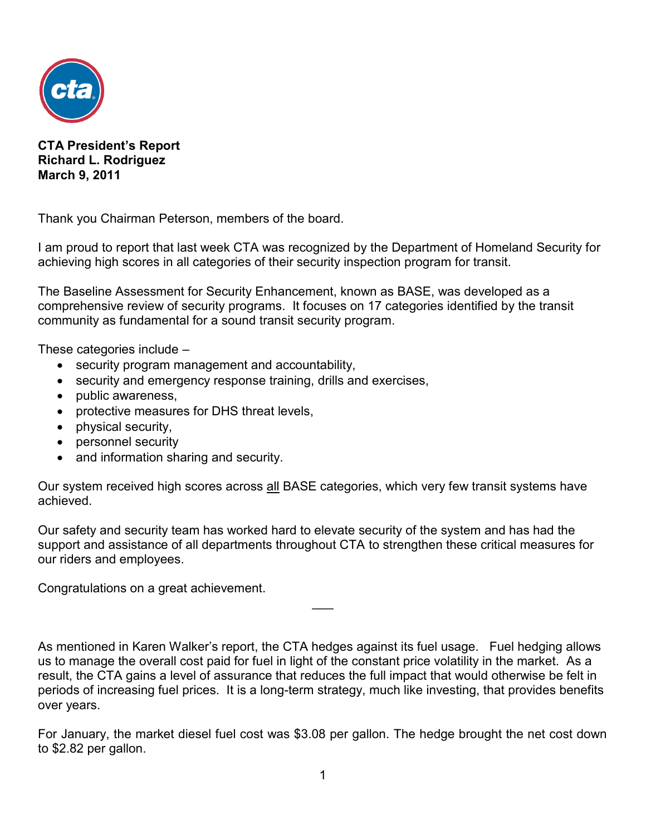

**CTA President's Report Richard L. Rodriguez March 9, 2011**

Thank you Chairman Peterson, members of the board.

I am proud to report that last week CTA was recognized by the Department of Homeland Security for achieving high scores in all categories of their security inspection program for transit.

The Baseline Assessment for Security Enhancement, known as BASE, was developed as a comprehensive review of security programs. It focuses on 17 categories identified by the transit community as fundamental for a sound transit security program.

These categories include –

- security program management and accountability,
- security and emergency response training, drills and exercises,
- public awareness.
- protective measures for DHS threat levels,
- physical security,
- personnel security
- and information sharing and security.

Our system received high scores across all BASE categories, which very few transit systems have achieved.

Our safety and security team has worked hard to elevate security of the system and has had the support and assistance of all departments throughout CTA to strengthen these critical measures for our riders and employees.

Congratulations on a great achievement.

As mentioned in Karen Walker's report, the CTA hedges against its fuel usage. Fuel hedging allows us to manage the overall cost paid for fuel in light of the constant price volatility in the market. As a result, the CTA gains a level of assurance that reduces the full impact that would otherwise be felt in periods of increasing fuel prices. It is a long-term strategy, much like investing, that provides benefits over years.

 $\overline{\phantom{a}}$ 

For January, the market diesel fuel cost was \$3.08 per gallon. The hedge brought the net cost down to \$2.82 per gallon.